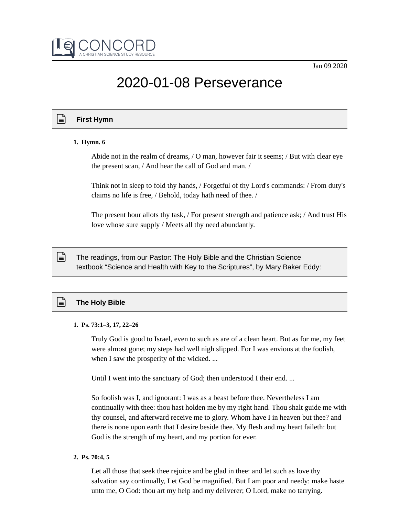

# 2020-01-08 Perseverance

## **First Hymn**

## **1. Hymn. 6**

Abide not in the realm of dreams, / O man, however fair it seems; / But with clear eye the present scan, / And hear the call of God and man. /

Think not in sleep to fold thy hands, / Forgetful of thy Lord's commands: / From duty's claims no life is free, / Behold, today hath need of thee. /

The present hour allots thy task, / For present strength and patience ask; / And trust His love whose sure supply / Meets all thy need abundantly.

The readings, from our Pastor: The Holy Bible and the Christian Science textbook "Science and Health with Key to the Scriptures", by Mary Baker Eddy:

## **The Holy Bible**

ן≡∣

## **1. Ps. 73:1–3, 17, 22–26**

Truly God is good to Israel, even to such as are of a clean heart. But as for me, my feet were almost gone; my steps had well nigh slipped. For I was envious at the foolish, when I saw the prosperity of the wicked. ...

Until I went into the sanctuary of God; then understood I their end. ...

So foolish was I, and ignorant: I was as a beast before thee. Nevertheless I am continually with thee: thou hast holden me by my right hand. Thou shalt guide me with thy counsel, and afterward receive me to glory. Whom have I in heaven but thee? and there is none upon earth that I desire beside thee. My flesh and my heart faileth: but God is the strength of my heart, and my portion for ever.

**2. Ps. 70:4, 5**

Let all those that seek thee rejoice and be glad in thee: and let such as love thy salvation say continually, Let God be magnified. But I am poor and needy: make haste unto me, O God: thou art my help and my deliverer; O Lord, make no tarrying.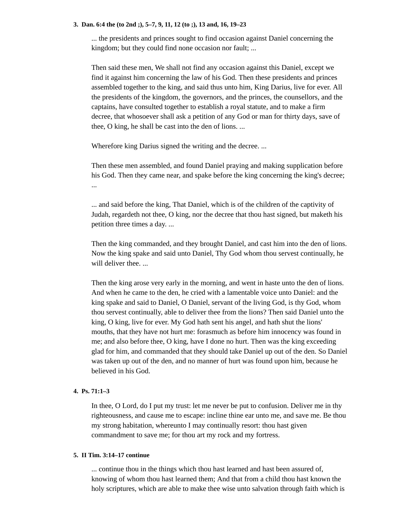#### **3. Dan. 6:4 the (to 2nd ;), 5–7, 9, 11, 12 (to ;), 13 and, 16, 19–23**

... the presidents and princes sought to find occasion against Daniel concerning the kingdom; but they could find none occasion nor fault; ...

Then said these men, We shall not find any occasion against this Daniel, except we find it against him concerning the law of his God. Then these presidents and princes assembled together to the king, and said thus unto him, King Darius, live for ever. All the presidents of the kingdom, the governors, and the princes, the counsellors, and the captains, have consulted together to establish a royal statute, and to make a firm decree, that whosoever shall ask a petition of any God or man for thirty days, save of thee, O king, he shall be cast into the den of lions. ...

Wherefore king Darius signed the writing and the decree. ...

Then these men assembled, and found Daniel praying and making supplication before his God. Then they came near, and spake before the king concerning the king's decree; ...

... and said before the king, That Daniel, which is of the children of the captivity of Judah, regardeth not thee, O king, nor the decree that thou hast signed, but maketh his petition three times a day. ...

Then the king commanded, and they brought Daniel, and cast him into the den of lions. Now the king spake and said unto Daniel, Thy God whom thou servest continually, he will deliver thee. ...

Then the king arose very early in the morning, and went in haste unto the den of lions. And when he came to the den, he cried with a lamentable voice unto Daniel: and the king spake and said to Daniel, O Daniel, servant of the living God, is thy God, whom thou servest continually, able to deliver thee from the lions? Then said Daniel unto the king, O king, live for ever. My God hath sent his angel, and hath shut the lions' mouths, that they have not hurt me: forasmuch as before him innocency was found in me; and also before thee, O king, have I done no hurt. Then was the king exceeding glad for him, and commanded that they should take Daniel up out of the den. So Daniel was taken up out of the den, and no manner of hurt was found upon him, because he believed in his God.

## **4. Ps. 71:1–3**

In thee, O Lord, do I put my trust: let me never be put to confusion. Deliver me in thy righteousness, and cause me to escape: incline thine ear unto me, and save me. Be thou my strong habitation, whereunto I may continually resort: thou hast given commandment to save me; for thou art my rock and my fortress.

## **5. II Tim. 3:14–17 continue**

... continue thou in the things which thou hast learned and hast been assured of, knowing of whom thou hast learned them; And that from a child thou hast known the holy scriptures, which are able to make thee wise unto salvation through faith which is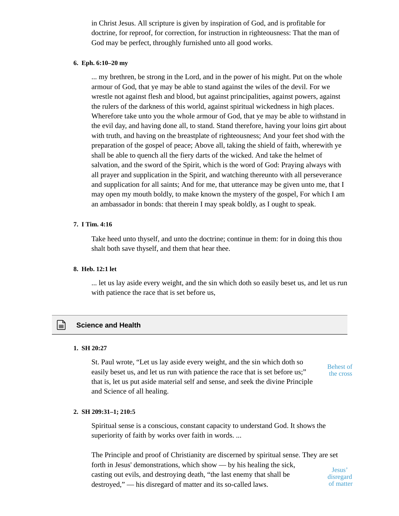in Christ Jesus. All scripture is given by inspiration of God, and is profitable for doctrine, for reproof, for correction, for instruction in righteousness: That the man of God may be perfect, throughly furnished unto all good works.

## **6. Eph. 6:10–20 my**

... my brethren, be strong in the Lord, and in the power of his might. Put on the whole armour of God, that ye may be able to stand against the wiles of the devil. For we wrestle not against flesh and blood, but against principalities, against powers, against the rulers of the darkness of this world, against spiritual wickedness in high places. Wherefore take unto you the whole armour of God, that ye may be able to withstand in the evil day, and having done all, to stand. Stand therefore, having your loins girt about with truth, and having on the breastplate of righteousness; And your feet shod with the preparation of the gospel of peace; Above all, taking the shield of faith, wherewith ye shall be able to quench all the fiery darts of the wicked. And take the helmet of salvation, and the sword of the Spirit, which is the word of God: Praying always with all prayer and supplication in the Spirit, and watching thereunto with all perseverance and supplication for all saints; And for me, that utterance may be given unto me, that I may open my mouth boldly, to make known the mystery of the gospel, For which I am an ambassador in bonds: that therein I may speak boldly, as I ought to speak.

#### **7. I Tim. 4:16**

Take heed unto thyself, and unto the doctrine; continue in them: for in doing this thou shalt both save thyself, and them that hear thee.

## **8. Heb. 12:1 let**

... let us lay aside every weight, and the sin which doth so easily beset us, and let us run with patience the race that is set before us,

## **Science and Health**

#### **1. SH 20:27**

St. Paul wrote, "Let us lay aside every weight, and the sin which doth so easily beset us, and let us run with patience the race that is set before us;" that is, let us put aside material self and sense, and seek the divine Principle and Science of all healing.

Behest of the cross

## **2. SH 209:31–1; 210:5**

Spiritual sense is a conscious, constant capacity to understand God. It shows the superiority of faith by works over faith in words. ...

The Principle and proof of Christianity are discerned by spiritual sense. They are set forth in Jesus' demonstrations, which show — by his healing the sick, casting out evils, and destroying death, "the last enemy that shall be destroyed," — his disregard of matter and its so-called laws. Jesus' disregard of matter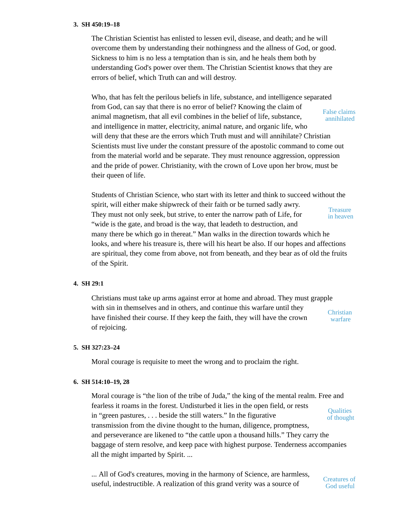#### **3. SH 450:19–18**

The Christian Scientist has enlisted to lessen evil, disease, and death; and he will overcome them by understanding their nothingness and the allness of God, or good. Sickness to him is no less a temptation than is sin, and he heals them both by understanding God's power over them. The Christian Scientist knows that they are errors of belief, which Truth can and will destroy.

Who, that has felt the perilous beliefs in life, substance, and intelligence separated from God, can say that there is no error of belief? Knowing the claim of animal magnetism, that all evil combines in the belief of life, substance, and intelligence in matter, electricity, animal nature, and organic life, who will deny that these are the errors which Truth must and will annihilate? Christian Scientists must live under the constant pressure of the apostolic command to come out from the material world and be separate. They must renounce aggression, oppression and the pride of power. Christianity, with the crown of Love upon her brow, must be their queen of life. False claims annihilated

Students of Christian Science, who start with its letter and think to succeed without the spirit, will either make shipwreck of their faith or be turned sadly awry. They must not only seek, but strive, to enter the narrow path of Life, for "wide is the gate, and broad is the way, that leadeth to destruction, and many there be which go in thereat." Man walks in the direction towards which he looks, and where his treasure is, there will his heart be also. If our hopes and affections are spiritual, they come from above, not from beneath, and they bear as of old the fruits of the Spirit. **Treasure** in heaven

## **4. SH 29:1**

Christians must take up arms against error at home and abroad. They must grapple with sin in themselves and in others, and continue this warfare until they have finished their course. If they keep the faith, they will have the crown of rejoicing. **Christian** warfare

## **5. SH 327:23–24**

Moral courage is requisite to meet the wrong and to proclaim the right.

#### **6. SH 514:10–19, 28**

Moral courage is "the lion of the tribe of Juda," the king of the mental realm. Free and fearless it roams in the forest. Undisturbed it lies in the open field, or rests in "green pastures, . . . beside the still waters." In the figurative transmission from the divine thought to the human, diligence, promptness, and perseverance are likened to "the cattle upon a thousand hills." They carry the baggage of stern resolve, and keep pace with highest purpose. Tenderness accompanies all the might imparted by Spirit. ... **Qualities** of thought

... All of God's creatures, moving in the harmony of Science, are harmless, useful, indestructible. A realization of this grand verity was a source of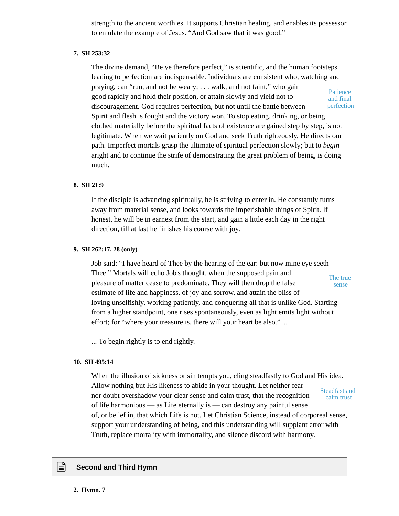strength to the ancient worthies. It supports Christian healing, and enables its possessor to emulate the example of Jesus. "And God saw that it was good."

#### **7. SH 253:32**

The divine demand, "Be ye therefore perfect," is scientific, and the human footsteps leading to perfection are indispensable. Individuals are consistent who, watching and praying, can "run, and not be weary; . . . walk, and not faint," who gain good rapidly and hold their position, or attain slowly and yield not to discouragement. God requires perfection, but not until the battle between Spirit and flesh is fought and the victory won. To stop eating, drinking, or being clothed materially before the spiritual facts of existence are gained step by step, is not legitimate. When we wait patiently on God and seek Truth righteously, He directs our path. Imperfect mortals grasp the ultimate of spiritual perfection slowly; but to *begin* aright and to continue the strife of demonstrating the great problem of being, is doing much. **Patience** and final perfection

#### **8. SH 21:9**

If the disciple is advancing spiritually, he is striving to enter in. He constantly turns away from material sense, and looks towards the imperishable things of Spirit. If honest, he will be in earnest from the start, and gain a little each day in the right direction, till at last he finishes his course with joy.

#### **9. SH 262:17, 28 (only)**

Job said: "I have heard of Thee by the hearing of the ear: but now mine eye seeth Thee." Mortals will echo Job's thought, when the supposed pain and pleasure of matter cease to predominate. They will then drop the false estimate of life and happiness, of joy and sorrow, and attain the bliss of loving unselfishly, working patiently, and conquering all that is unlike God. Starting from a higher standpoint, one rises spontaneously, even as light emits light without effort; for "where your treasure is, there will your heart be also." ... The true sense

... To begin rightly is to end rightly.

#### **10. SH 495:14**

When the illusion of sickness or sin tempts you, cling steadfastly to God and His idea. Allow nothing but His likeness to abide in your thought. Let neither fear nor doubt overshadow your clear sense and calm trust, that the recognition of life harmonious — as Life eternally is — can destroy any painful sense of, or belief in, that which Life is not. Let Christian Science, instead of corporeal sense, support your understanding of being, and this understanding will supplant error with Truth, replace mortality with immortality, and silence discord with harmony. Steadfast and calm trust

#### **Second and Third Hymn**